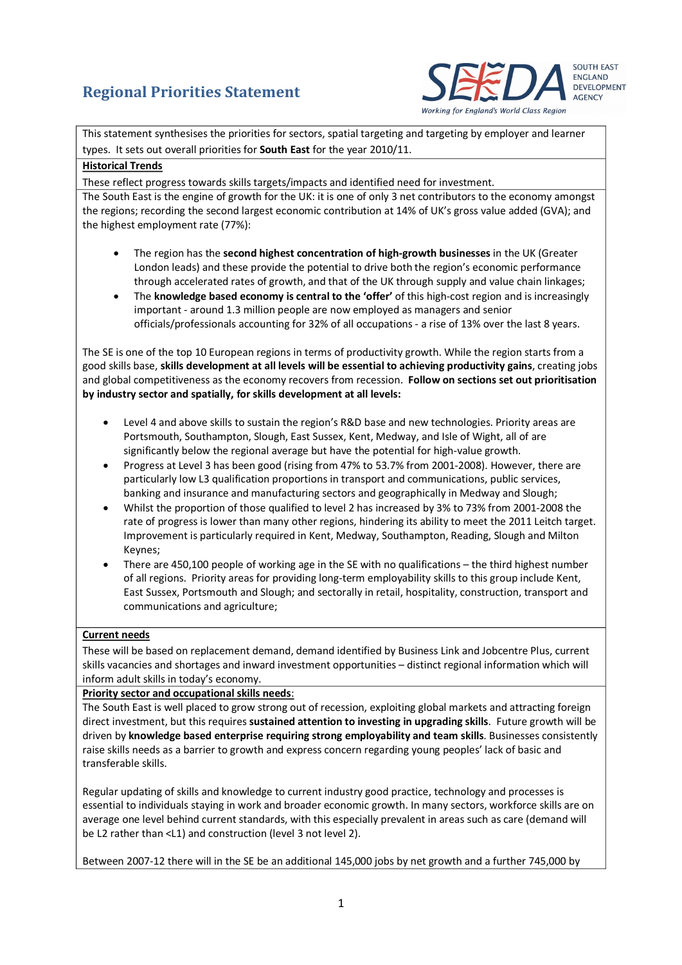# **Regional Priorities Statement**



This statement synthesises the priorities for sectors, spatial targeting and targeting by employer and learner types. It sets out overall priorities for **South East** for the year 2010/11.

### **Historical Trends**

These reflect progress towards skills targets/impacts and identified need for investment.

The South East is the engine of growth for the UK: it is one of only 3 net contributors to the economy amongst the regions; recording the second largest economic contribution at 14% of UK's gross value added (GVA); and the highest employment rate (77%):

- · The region has the **second highest concentration of high‐growth businesses** in the UK (Greater London leads) and these provide the potential to drive both the region's economic performance through accelerated rates of growth, and that of the UK through supply and value chain linkages;
- · The **knowledge based economy is central to the 'offer'** of this high‐cost region and is increasingly important - around 1.3 million people are now employed as managers and senior officials/professionals accounting for 32% of all occupations ‐ a rise of 13% over the last 8 years.

The SE is one of the top 10 European regions in terms of productivity growth. While the region starts from a good skills base, **skills development at all levels will be essential to achieving productivity gains**, creating jobs and global competitiveness as the economy recovers from recession. **Follow on sections set out prioritisation by industry sector and spatially, for skills development at all levels:**

- Level 4 and above skills to sustain the region's R&D base and new technologies. Priority areas are Portsmouth, Southampton, Slough, East Sussex, Kent, Medway, and Isle of Wight, all of are significantly below the regional average but have the potential for high‐value growth.
- · Progress at Level 3 has been good (rising from 47% to 53.7% from 2001‐2008). However, there are particularly low L3 qualification proportions in transport and communications, public services, banking and insurance and manufacturing sectors and geographically in Medway and Slough;
- · Whilst the proportion of those qualified to level 2 has increased by 3% to 73% from 2001‐2008 the rate of progress is lower than many other regions, hindering its ability to meet the 2011 Leitch target. Improvement is particularly required in Kent, Medway, Southampton, Reading, Slough and Milton Keynes;
- There are 450,100 people of working age in the SE with no qualifications the third highest number of all regions. Priority areas for providing long‐term employability skills to this group include Kent, East Sussex, Portsmouth and Slough; and sectorally in retail, hospitality, construction, transport and communications and agriculture;

### **Current needs**

These will be based on replacement demand, demand identified by Business Link and Jobcentre Plus, current skills vacancies and shortages and inward investment opportunities – distinct regional information which will inform adult skills in today's economy.

### **Priority sector and occupational skills needs**:

The South East is well placed to grow strong out of recession, exploiting global markets and attracting foreign direct investment, but this requires **sustained attention to investing in upgrading skills**. Future growth will be driven by **knowledge based enterprise requiring strong employability and team skills**. Businesses consistently raise skills needs as a barrier to growth and express concern regarding young peoples' lack of basic and transferable skills.

Regular updating of skills and knowledge to current industry good practice, technology and processes is essential to individuals staying in work and broader economic growth. In many sectors, workforce skills are on average one level behind current standards, with this especially prevalent in areas such as care (demand will be L2 rather than <L1) and construction (level 3 not level 2).

Between 2007‐12 there will in the SE be an additional 145,000 jobs by net growth and a further 745,000 by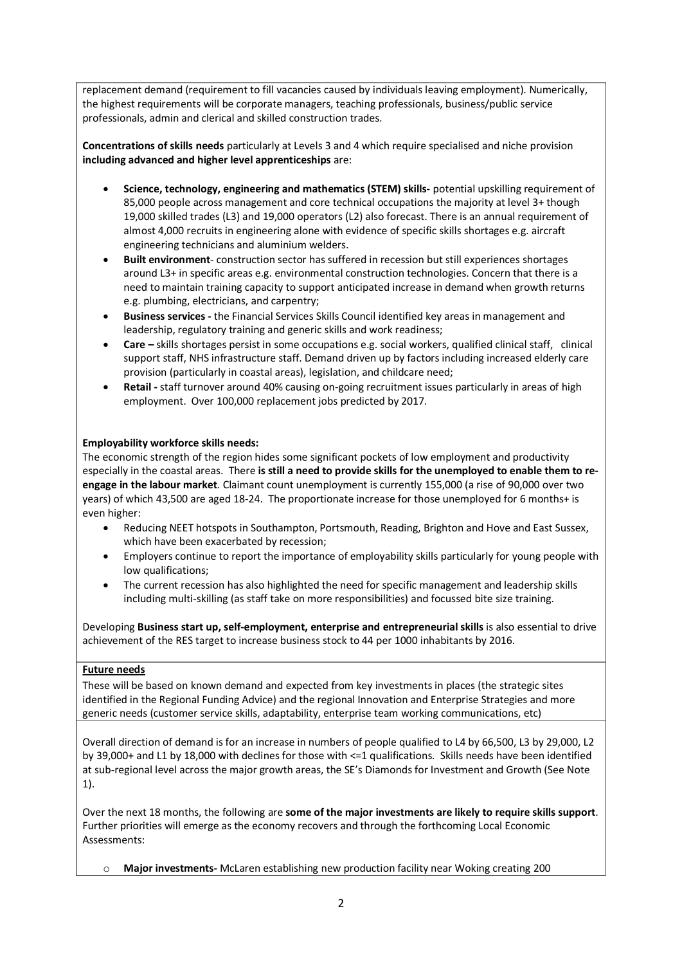replacement demand (requirement to fill vacancies caused by individuals leaving employment). Numerically, the highest requirements will be corporate managers, teaching professionals, business/public service professionals, admin and clerical and skilled construction trades.

**Concentrations of skills needs** particularly at Levels 3 and 4 which require specialised and niche provision **including advanced and higher level apprenticeships** are:

- · **Science, technology, engineering and mathematics (STEM) skills‐** potential upskilling requirement of 85,000 people across management and core technical occupations the majority at level 3+ though 19,000 skilled trades (L3) and 19,000 operators (L2) also forecast. There is an annual requirement of almost 4,000 recruits in engineering alone with evidence of specific skills shortages e.g. aircraft engineering technicians and aluminium welders.
- · **Built environment**‐ construction sector has suffered in recession but still experiences shortages around L3+ in specific areas e.g. environmental construction technologies. Concern that there is a need to maintain training capacity to support anticipated increase in demand when growth returns e.g. plumbing, electricians, and carpentry;
- · **Business services ‐** the Financial Services Skills Council identified key areas in management and leadership, regulatory training and generic skills and work readiness;
- · **Care –** skills shortages persist in some occupations e.g. social workers, qualified clinical staff, clinical support staff, NHS infrastructure staff. Demand driven up by factors including increased elderly care provision (particularly in coastal areas), legislation, and childcare need;
- · **Retail ‐** staff turnover around 40% causing on‐going recruitment issues particularly in areas of high employment. Over 100,000 replacement jobs predicted by 2017.

## **Employability workforce skills needs:**

The economic strength of the region hides some significant pockets of low employment and productivity especially in the coastal areas. There **is still a need to provide skills for the unemployed to enable them to re‐ engage in the labour market**. Claimant count unemployment is currently 155,000 (a rise of 90,000 over two years) of which 43,500 are aged 18‐24. The proportionate increase for those unemployed for 6 months+ is even higher:

- · Reducing NEET hotspots in Southampton, Portsmouth, Reading, Brighton and Hove and East Sussex, which have been exacerbated by recession;
- · Employers continue to report the importance of employability skills particularly for young people with low qualifications;
- · The current recession has also highlighted the need for specific management and leadership skills including multi‐skilling (as staff take on more responsibilities) and focussed bite size training.

Developing **Business start up, self‐employment, enterprise and entrepreneurial skills** is also essential to drive achievement of the RES target to increase business stock to 44 per 1000 inhabitants by 2016.

### **Future needs**

These will be based on known demand and expected from key investments in places (the strategic sites identified in the Regional Funding Advice) and the regional Innovation and Enterprise Strategies and more generic needs (customer service skills, adaptability, enterprise team working communications, etc)

Overall direction of demand is for an increase in numbers of people qualified to L4 by 66,500, L3 by 29,000, L2 by 39,000+ and L1 by 18,000 with declines for those with <=1 qualifications. Skills needs have been identified at sub-regional level across the major growth areas, the SE's Diamonds for Investment and Growth (See Note 1).

Over the next 18 months, the following are **some of the major investments are likely to require skills support**. Further priorities will emerge as the economy recovers and through the forthcoming Local Economic Assessments:

o **Major investments‐** McLaren establishing new production facility near Woking creating 200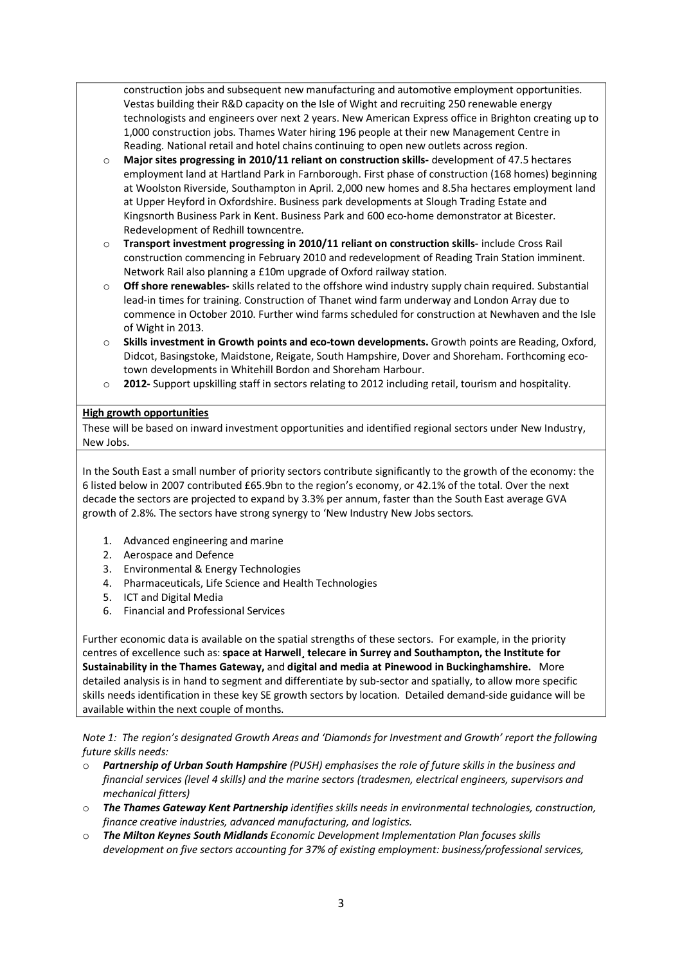construction jobs and subsequent new manufacturing and automotive employment opportunities. Vestas building their R&D capacity on the Isle of Wight and recruiting 250 renewable energy technologists and engineers over next 2 years. New American Express office in Brighton creating up to 1,000 construction jobs. Thames Water hiring 196 people at their new Management Centre in Reading. National retail and hotel chains continuing to open new outlets across region.

- o **Major sites progressing in 2010/11 reliant on construction skills‐** development of 47.5 hectares employment land at Hartland Park in Farnborough. First phase of construction (168 homes) beginning at Woolston Riverside, Southampton in April. 2,000 new homes and 8.5ha hectares employment land at Upper Heyford in Oxfordshire. Business park developments at Slough Trading Estate and Kingsnorth Business Park in Kent. Business Park and 600 eco-home demonstrator at Bicester. Redevelopment of Redhill towncentre.
- o **Transport investment progressing in 2010/11 reliant on construction skills‐** include Cross Rail construction commencing in February 2010 and redevelopment of Reading Train Station imminent. Network Rail also planning a £10m upgrade of Oxford railway station.
- o **Off shore renewables‐** skills related to the offshore wind industry supply chain required. Substantial lead‐in times for training. Construction of Thanet wind farm underway and London Array due to commence in October 2010. Further wind farms scheduled for construction at Newhaven and the Isle of Wight in 2013.
- o **Skills investment in Growth points and eco‐town developments.** Growth points are Reading, Oxford, Didcot, Basingstoke, Maidstone, Reigate, South Hampshire, Dover and Shoreham. Forthcoming eco‐ town developments in Whitehill Bordon and Shoreham Harbour.
- o **2012‐** Support upskilling staff in sectors relating to 2012 including retail, tourism and hospitality.

#### **High growth opportunities**

These will be based on inward investment opportunities and identified regional sectors under New Industry, New Jobs.

In the South East a small number of priority sectors contribute significantly to the growth of the economy: the 6 listed below in 2007 contributed £65.9bn to the region's economy, or 42.1% of the total. Over the next decade the sectors are projected to expand by 3.3% per annum, faster than the South East average GVA growth of 2.8%. The sectors have strong synergy to 'New Industry New Jobs sectors.

- 1. Advanced engineering and marine
- 2. Aerospace and Defence
- 3. Environmental & Energy Technologies
- 4. Pharmaceuticals, Life Science and Health Technologies
- 5. ICT and Digital Media
- 6. Financial and Professional Services

Further economic data is available on the spatial strengths of these sectors. For example, in the priority centres of excellence such as: **space at Harwell¸ telecare in Surrey and Southampton, the Institute for Sustainability in the Thames Gateway,** and **digital and media at Pinewood in Buckinghamshire.** More detailed analysis is in hand to segment and differentiate by sub‐sector and spatially, to allow more specific skills needs identification in these key SE growth sectors by location. Detailed demand-side guidance will be available within the next couple of months.

*Note 1: The region's designated Growth Areas and 'Diamonds for Investment and Growth' report the following future skills needs:* 

- o *Partnership of Urban South Hampshire (PUSH) emphasises the role of future skills in the business and financial services (level 4 skills) and the marine sectors (tradesmen, electrical engineers, supervisors and mechanical fitters)*
- o *The Thames Gateway Kent Partnership identifies skills needs in environmental technologies, construction, finance creative industries, advanced manufacturing, and logistics.*
- o *The Milton Keynes South Midlands Economic Development Implementation Plan focuses skills development on five sectors accounting for 37% of existing employment: business/professional services,*